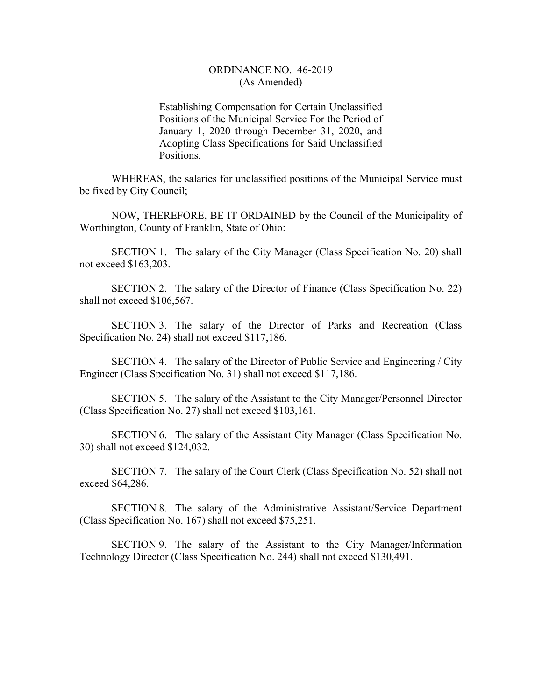## ORDINANCE NO. 46-2019 (As Amended)

Establishing Compensation for Certain Unclassified Positions of the Municipal Service For the Period of January 1, 2020 through December 31, 2020, and Adopting Class Specifications for Said Unclassified Positions.

WHEREAS, the salaries for unclassified positions of the Municipal Service must be fixed by City Council;

NOW, THEREFORE, BE IT ORDAINED by the Council of the Municipality of Worthington, County of Franklin, State of Ohio:

SECTION 1. The salary of the City Manager (Class Specification No. 20) shall not exceed \$163,203.

SECTION 2. The salary of the Director of Finance (Class Specification No. 22) shall not exceed \$106,567.

SECTION 3. The salary of the Director of Parks and Recreation (Class Specification No. 24) shall not exceed \$117,186.

SECTION 4. The salary of the Director of Public Service and Engineering / City Engineer (Class Specification No. 31) shall not exceed \$117,186.

SECTION 5. The salary of the Assistant to the City Manager/Personnel Director (Class Specification No. 27) shall not exceed \$103,161.

SECTION 6. The salary of the Assistant City Manager (Class Specification No. 30) shall not exceed \$124,032.

SECTION 7. The salary of the Court Clerk (Class Specification No. 52) shall not exceed \$64,286.

SECTION 8. The salary of the Administrative Assistant/Service Department (Class Specification No. 167) shall not exceed \$75,251.

SECTION 9. The salary of the Assistant to the City Manager/Information Technology Director (Class Specification No. 244) shall not exceed \$130,491.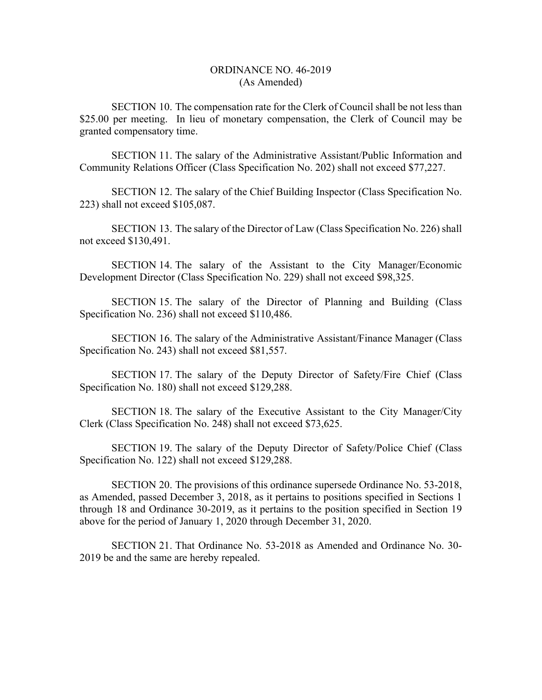## ORDINANCE NO. 46-2019 (As Amended)

SECTION 10. The compensation rate for the Clerk of Council shall be not less than \$25.00 per meeting. In lieu of monetary compensation, the Clerk of Council may be granted compensatory time.

SECTION 11. The salary of the Administrative Assistant/Public Information and Community Relations Officer (Class Specification No. 202) shall not exceed \$77,227.

SECTION 12. The salary of the Chief Building Inspector (Class Specification No. 223) shall not exceed \$105,087.

SECTION 13. The salary of the Director of Law (Class Specification No. 226) shall not exceed \$130,491.

SECTION 14. The salary of the Assistant to the City Manager/Economic Development Director (Class Specification No. 229) shall not exceed \$98,325.

SECTION 15. The salary of the Director of Planning and Building (Class Specification No. 236) shall not exceed \$110,486.

SECTION 16. The salary of the Administrative Assistant/Finance Manager (Class Specification No. 243) shall not exceed \$81,557.

SECTION 17. The salary of the Deputy Director of Safety/Fire Chief (Class Specification No. 180) shall not exceed \$129,288.

SECTION 18. The salary of the Executive Assistant to the City Manager/City Clerk (Class Specification No. 248) shall not exceed \$73,625.

SECTION 19. The salary of the Deputy Director of Safety/Police Chief (Class Specification No. 122) shall not exceed \$129,288.

SECTION 20. The provisions of this ordinance supersede Ordinance No. 53-2018, as Amended, passed December 3, 2018, as it pertains to positions specified in Sections 1 through 18 and Ordinance 30-2019, as it pertains to the position specified in Section 19 above for the period of January 1, 2020 through December 31, 2020.

SECTION 21. That Ordinance No. 53-2018 as Amended and Ordinance No. 30- 2019 be and the same are hereby repealed.